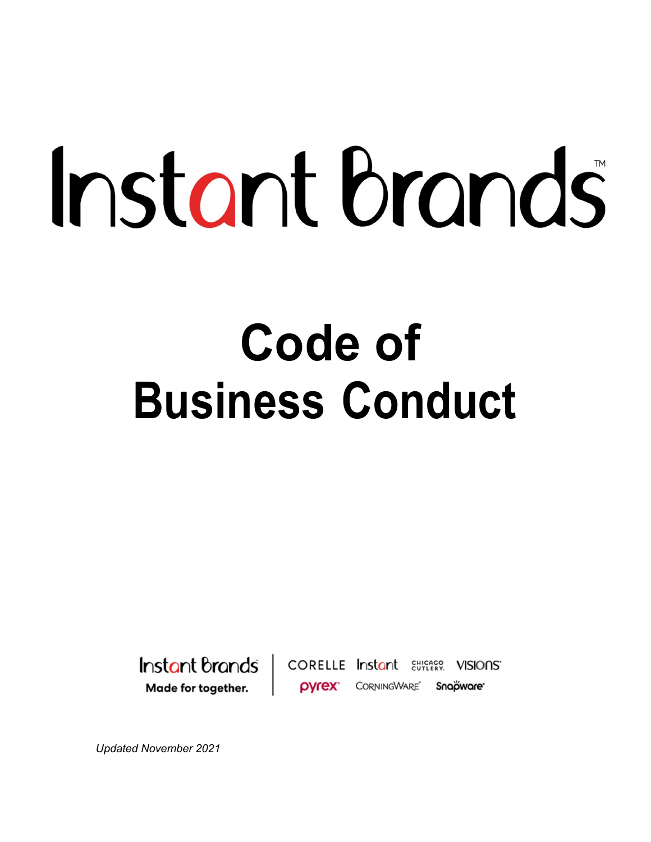# Instant brands

# Code of Business Conduct



**CORELLE Instant Etherge VISIONS OVrex** CORNINGWARE Snapware

Updated November 2021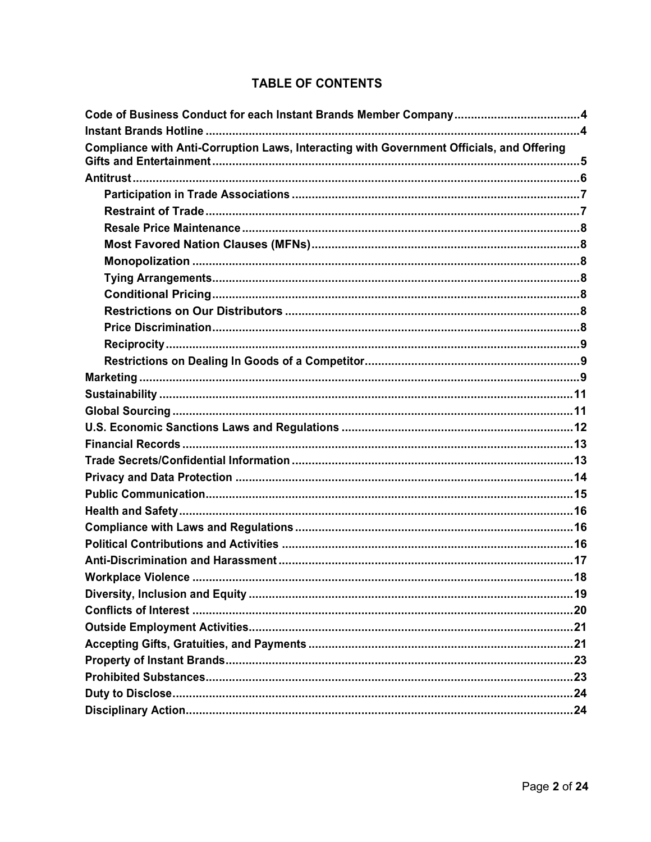# **TABLE OF CONTENTS**

| Compliance with Anti-Corruption Laws, Interacting with Government Officials, and Offering |  |  |  |
|-------------------------------------------------------------------------------------------|--|--|--|
|                                                                                           |  |  |  |
|                                                                                           |  |  |  |
|                                                                                           |  |  |  |
|                                                                                           |  |  |  |
|                                                                                           |  |  |  |
|                                                                                           |  |  |  |
|                                                                                           |  |  |  |
|                                                                                           |  |  |  |
|                                                                                           |  |  |  |
|                                                                                           |  |  |  |
|                                                                                           |  |  |  |
|                                                                                           |  |  |  |
|                                                                                           |  |  |  |
|                                                                                           |  |  |  |
|                                                                                           |  |  |  |
|                                                                                           |  |  |  |
|                                                                                           |  |  |  |
|                                                                                           |  |  |  |
|                                                                                           |  |  |  |
|                                                                                           |  |  |  |
|                                                                                           |  |  |  |
|                                                                                           |  |  |  |
|                                                                                           |  |  |  |
|                                                                                           |  |  |  |
|                                                                                           |  |  |  |
|                                                                                           |  |  |  |
|                                                                                           |  |  |  |
|                                                                                           |  |  |  |
|                                                                                           |  |  |  |
|                                                                                           |  |  |  |
|                                                                                           |  |  |  |
|                                                                                           |  |  |  |
|                                                                                           |  |  |  |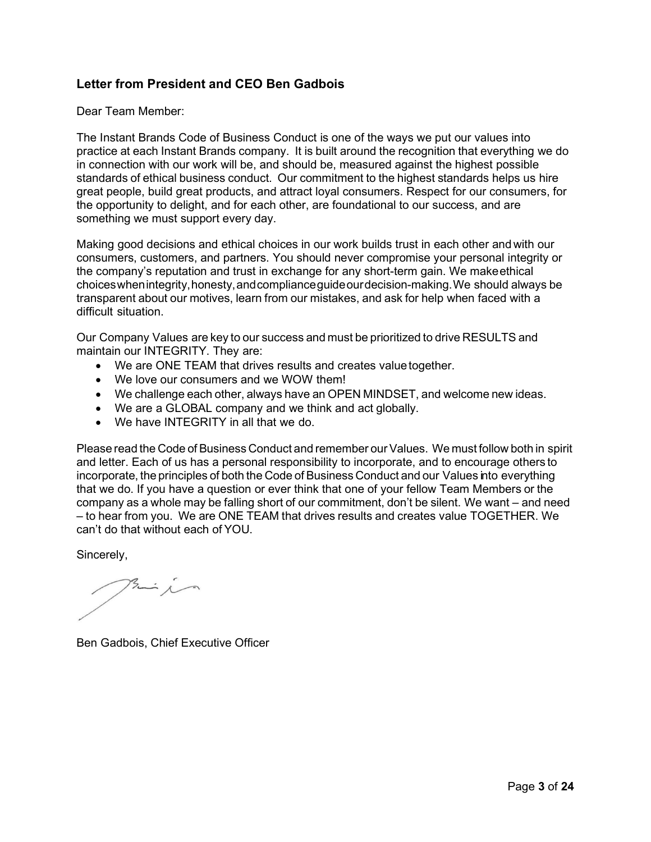#### Letter from President and CEO Ben Gadbois

Dear Team Member:

The Instant Brands Code of Business Conduct is one of the ways we put our values into practice at each Instant Brands company. It is built around the recognition that everything we do in connection with our work will be, and should be, measured against the highest possible standards of ethical business conduct. Our commitment to the highest standards helps us hire great people, build great products, and attract loyal consumers. Respect for our consumers, for the opportunity to delight, and for each other, are foundational to our success, and are something we must support every day.

Making good decisions and ethical choices in our work builds trust in each other and with our consumers, customers, and partners. You should never compromise your personal integrity or the company's reputation and trust in exchange for any short-term gain. We make ethical choices when integrity, honesty, and compliance guide our decision-making. We should always be transparent about our motives, learn from our mistakes, and ask for help when faced with a difficult situation.

Our Company Values are key to our success and must be prioritized to drive RESULTS and maintain our INTEGRITY. They are:

- We are ONE TEAM that drives results and creates value together.
- We love our consumers and we WOW them!
- We challenge each other, always have an OPEN MINDSET, and welcome new ideas.
- We are a GLOBAL company and we think and act globally.
- We have INTEGRITY in all that we do.

Please read the Code of Business Conduct and remember our Values. We must follow both in spirit and letter. Each of us has a personal responsibility to incorporate, and to encourage others to incorporate, the principles of both the Code of Business Conduct and our Values into everything that we do. If you have a question or ever think that one of your fellow Team Members or the company as a whole may be falling short of our commitment, don't be silent. We want – and need – to hear from you. We are ONE TEAM that drives results and creates value TOGETHER. We can't do that without each of YOU.

Sincerely,

 $\frac{3}{2}$ 

Ben Gadbois, Chief Executive Officer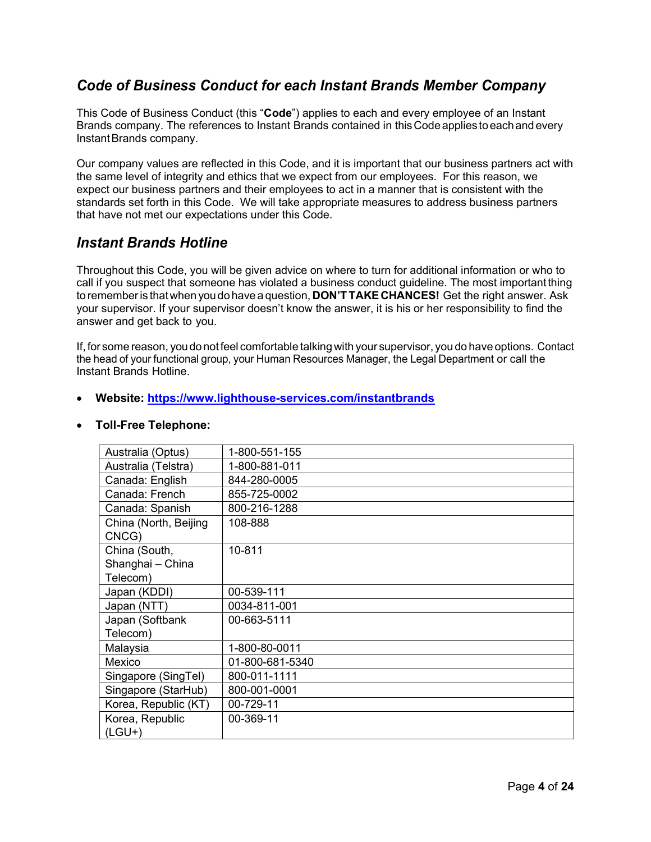# Code of Business Conduct for each Instant Brands Member Company

This Code of Business Conduct (this "Code") applies to each and every employee of an Instant Brands company. The references to Instant Brands contained in this Code applies to each and every Instant Brands company.

Our company values are reflected in this Code, and it is important that our business partners act with the same level of integrity and ethics that we expect from our employees. For this reason, we expect our business partners and their employees to act in a manner that is consistent with the standards set forth in this Code. We will take appropriate measures to address business partners that have not met our expectations under this Code.

# Instant Brands Hotline

Throughout this Code, you will be given advice on where to turn for additional information or who to call if you suspect that someone has violated a business conduct guideline. The most important thing to remember is that when you do have a question, **DON'T TAKE CHANCES!** Get the right answer. Ask your supervisor. If your supervisor doesn't know the answer, it is his or her responsibility to find the answer and get back to you.

If, for some reason, you do not feel comfortable talking with your supervisor, you do have options. Contact the head of your functional group, your Human Resources Manager, the Legal Department or call the Instant Brands Hotline.

#### Website: https://www.lighthouse-services.com/instantbrands

|  |  | <b>Toll-Free Telephone:</b> |
|--|--|-----------------------------|
|--|--|-----------------------------|

| Australia (Optus)              | 1-800-551-155   |
|--------------------------------|-----------------|
| Australia (Telstra)            | 1-800-881-011   |
| Canada: English                | 844-280-0005    |
| Canada: French                 | 855-725-0002    |
| Canada: Spanish                | 800-216-1288    |
| China (North, Beijing<br>CNCG) | 108-888         |
| China (South,                  | 10-811          |
| Shanghai - China               |                 |
| Telecom)                       |                 |
| Japan (KDDI)                   | 00-539-111      |
| Japan (NTT)                    | 0034-811-001    |
| Japan (Softbank                | 00-663-5111     |
| Telecom)                       |                 |
| Malaysia                       | 1-800-80-0011   |
| Mexico                         | 01-800-681-5340 |
| Singapore (SingTel)            | 800-011-1111    |
| Singapore (StarHub)            | 800-001-0001    |
| Korea, Republic (KT)           | 00-729-11       |
| Korea, Republic                | 00-369-11       |
| $(LGU+)$                       |                 |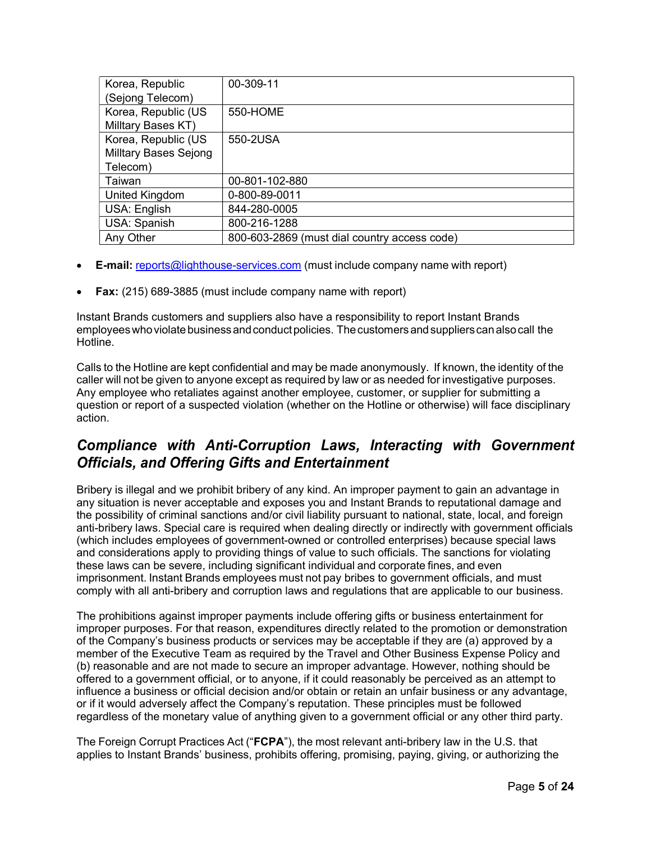| Korea, Republic              | 00-309-11                                    |
|------------------------------|----------------------------------------------|
| (Sejong Telecom)             |                                              |
| Korea, Republic (US          | 550-HOME                                     |
| Milltary Bases KT)           |                                              |
| Korea, Republic (US          | 550-2USA                                     |
| <b>Milltary Bases Sejong</b> |                                              |
| Telecom)                     |                                              |
| Taiwan                       | 00-801-102-880                               |
| United Kingdom               | 0-800-89-0011                                |
| USA: English                 | 844-280-0005                                 |
| USA: Spanish                 | 800-216-1288                                 |
| Any Other                    | 800-603-2869 (must dial country access code) |

- E-mail: reports@lighthouse-services.com (must include company name with report)
- Fax: (215) 689-3885 (must include company name with report)

Instant Brands customers and suppliers also have a responsibility to report Instant Brands employees who violate business and conduct policies. The customers and suppliers can also call the Hotline.

Calls to the Hotline are kept confidential and may be made anonymously. If known, the identity of the caller will not be given to anyone except as required by law or as needed for investigative purposes. Any employee who retaliates against another employee, customer, or supplier for submitting a question or report of a suspected violation (whether on the Hotline or otherwise) will face disciplinary action.

# Compliance with Anti-Corruption Laws, Interacting with Government Officials, and Offering Gifts and Entertainment

Bribery is illegal and we prohibit bribery of any kind. An improper payment to gain an advantage in any situation is never acceptable and exposes you and Instant Brands to reputational damage and the possibility of criminal sanctions and/or civil liability pursuant to national, state, local, and foreign anti-bribery laws. Special care is required when dealing directly or indirectly with government officials (which includes employees of government-owned or controlled enterprises) because special laws and considerations apply to providing things of value to such officials. The sanctions for violating these laws can be severe, including significant individual and corporate fines, and even imprisonment. Instant Brands employees must not pay bribes to government officials, and must comply with all anti-bribery and corruption laws and regulations that are applicable to our business.

The prohibitions against improper payments include offering gifts or business entertainment for improper purposes. For that reason, expenditures directly related to the promotion or demonstration of the Company's business products or services may be acceptable if they are (a) approved by a member of the Executive Team as required by the Travel and Other Business Expense Policy and (b) reasonable and are not made to secure an improper advantage. However, nothing should be offered to a government official, or to anyone, if it could reasonably be perceived as an attempt to influence a business or official decision and/or obtain or retain an unfair business or any advantage, or if it would adversely affect the Company's reputation. These principles must be followed regardless of the monetary value of anything given to a government official or any other third party.

The Foreign Corrupt Practices Act ("FCPA"), the most relevant anti-bribery law in the U.S. that applies to Instant Brands' business, prohibits offering, promising, paying, giving, or authorizing the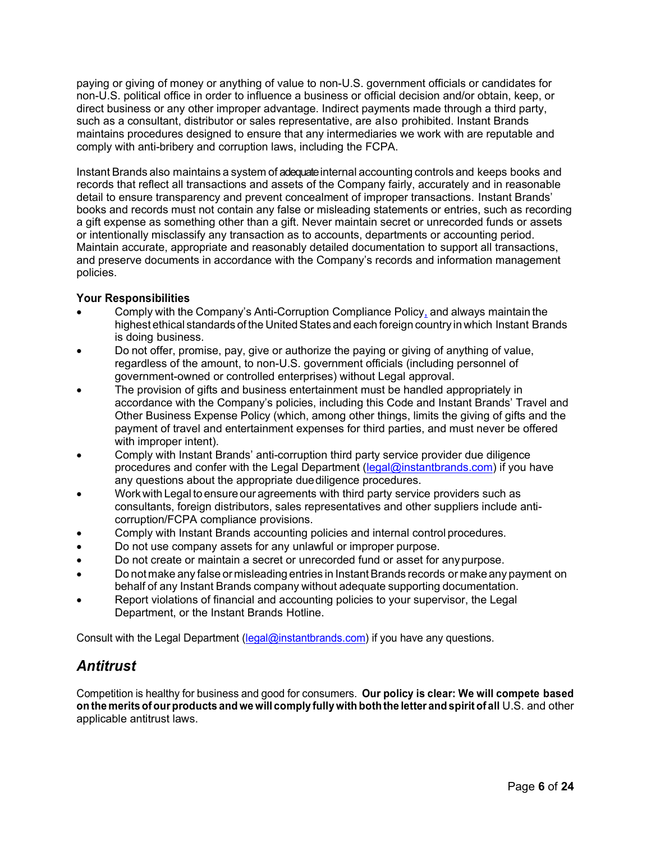paying or giving of money or anything of value to non-U.S. government officials or candidates for non-U.S. political office in order to influence a business or official decision and/or obtain, keep, or direct business or any other improper advantage. Indirect payments made through a third party, such as a consultant, distributor or sales representative, are also prohibited. Instant Brands maintains procedures designed to ensure that any intermediaries we work with are reputable and comply with anti-bribery and corruption laws, including the FCPA.

Instant Brands also maintains a system of adequate internal accounting controls and keeps books and records that reflect all transactions and assets of the Company fairly, accurately and in reasonable detail to ensure transparency and prevent concealment of improper transactions. Instant Brands' books and records must not contain any false or misleading statements or entries, such as recording a gift expense as something other than a gift. Never maintain secret or unrecorded funds or assets or intentionally misclassify any transaction as to accounts, departments or accounting period. Maintain accurate, appropriate and reasonably detailed documentation to support all transactions, and preserve documents in accordance with the Company's records and information management policies.

#### Your Responsibilities

- Comply with the Company's Anti-Corruption Compliance Policy, and always maintain the highest ethical standards of the United States and each foreign country in which Instant Brands is doing business.
- Do not offer, promise, pay, give or authorize the paying or giving of anything of value, regardless of the amount, to non-U.S. government officials (including personnel of government-owned or controlled enterprises) without Legal approval.
- The provision of gifts and business entertainment must be handled appropriately in accordance with the Company's policies, including this Code and Instant Brands' Travel and Other Business Expense Policy (which, among other things, limits the giving of gifts and the payment of travel and entertainment expenses for third parties, and must never be offered with improper intent).
- Comply with Instant Brands' anti-corruption third party service provider due diligence procedures and confer with the Legal Department (legal@instantbrands.com) if you have any questions about the appropriate due diligence procedures.
- Work with Legal to ensure our agreements with third party service providers such as consultants, foreign distributors, sales representatives and other suppliers include anticorruption/FCPA compliance provisions.
- Comply with Instant Brands accounting policies and internal control procedures.
- Do not use company assets for any unlawful or improper purpose.
- Do not create or maintain a secret or unrecorded fund or asset for any purpose.
- Do not make any false or misleading entries in Instant Brands records or make any payment on behalf of any Instant Brands company without adequate supporting documentation.
- Report violations of financial and accounting policies to your supervisor, the Legal Department, or the Instant Brands Hotline.

Consult with the Legal Department (legal@instantbrands.com) if you have any questions.

# Antitrust

Competition is healthy for business and good for consumers. Our policy is clear: We will compete based on the merits of our products and we will comply fully with both the letter and spirit of all U.S. and other applicable antitrust laws.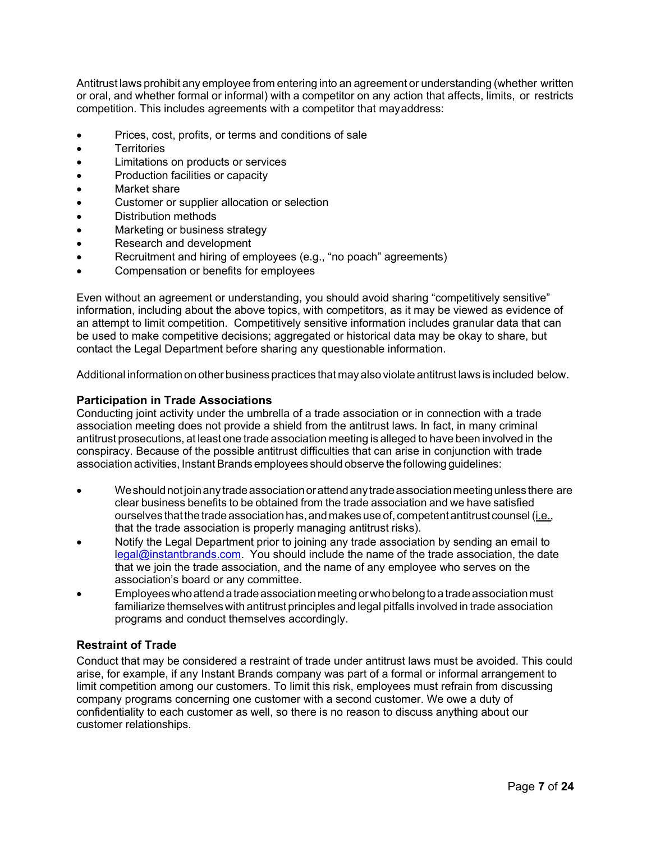Antitrust laws prohibit any employee from entering into an agreement or understanding (whether written or oral, and whether formal or informal) with a competitor on any action that affects, limits, or restricts competition. This includes agreements with a competitor that may address:

- Prices, cost, profits, or terms and conditions of sale
- Territories
- Limitations on products or services
- Production facilities or capacity
- Market share
- Customer or supplier allocation or selection
- Distribution methods
- Marketing or business strategy
- Research and development
- Recruitment and hiring of employees (e.g., "no poach" agreements)
- Compensation or benefits for employees

Even without an agreement or understanding, you should avoid sharing "competitively sensitive" information, including about the above topics, with competitors, as it may be viewed as evidence of an attempt to limit competition. Competitively sensitive information includes granular data that can be used to make competitive decisions; aggregated or historical data may be okay to share, but contact the Legal Department before sharing any questionable information.

Additional information on other business practices that may also violate antitrust laws is included below.

#### Participation in Trade Associations

Conducting joint activity under the umbrella of a trade association or in connection with a trade association meeting does not provide a shield from the antitrust laws. In fact, in many criminal antitrust prosecutions, at least one trade association meeting is alleged to have been involved in the conspiracy. Because of the possible antitrust difficulties that can arise in conjunction with trade association activities, Instant Brands employees should observe the following guidelines:

- We should not join any trade association or attend any trade association meeting unless there are clear business benefits to be obtained from the trade association and we have satisfied ourselves that the trade association has, and makes use of, competent antitrust counsel (i.e., that the trade association is properly managing antitrust risks).
- Notify the Legal Department prior to joining any trade association by sending an email to legal@instantbrands.com. You should include the name of the trade association, the date that we join the trade association, and the name of any employee who serves on the association's board or any committee.
- Employees who attend a trade association meeting or who belong to a trade association must familiarize themselves with antitrust principles and legal pitfalls involved in trade association programs and conduct themselves accordingly.

#### Restraint of Trade

Conduct that may be considered a restraint of trade under antitrust laws must be avoided. This could arise, for example, if any Instant Brands company was part of a formal or informal arrangement to limit competition among our customers. To limit this risk, employees must refrain from discussing company programs concerning one customer with a second customer. We owe a duty of confidentiality to each customer as well, so there is no reason to discuss anything about our customer relationships.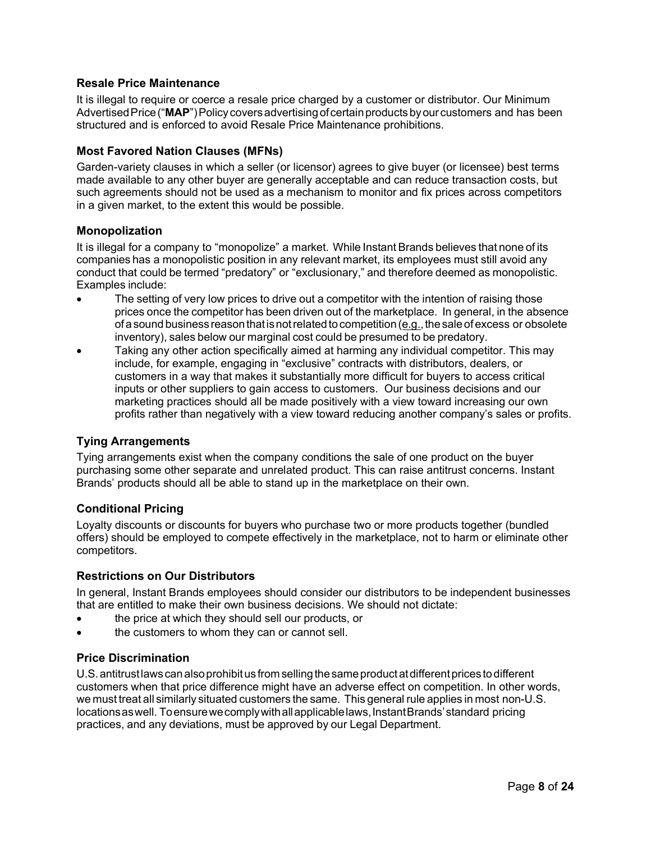#### Resale Price Maintenance

It is illegal to require or coerce a resale price charged by a customer or distributor. Our Minimum Advertised Price ("MAP") Policy covers advertising of certain products by our customers and has been structured and is enforced to avoid Resale Price Maintenance prohibitions.

#### Most Favored Nation Clauses (MFNs)

Garden-variety clauses in which a seller (or licensor) agrees to give buyer (or licensee) best terms made available to any other buyer are generally acceptable and can reduce transaction costs, but such agreements should not be used as a mechanism to monitor and fix prices across competitors in a given market, to the extent this would be possible.

#### Monopolization

It is illegal for a company to "monopolize" a market. While Instant Brands believes that none of its companies has a monopolistic position in any relevant market, its employees must still avoid any conduct that could be termed "predatory" or "exclusionary," and therefore deemed as monopolistic. Examples include:

- The setting of very low prices to drive out a competitor with the intention of raising those prices once the competitor has been driven out of the marketplace. In general, in the absence of a sound business reason that is not related to competition (e.g., the sale of excess or obsolete inventory), sales below our marginal cost could be presumed to be predatory.
- Taking any other action specifically aimed at harming any individual competitor. This may include, for example, engaging in "exclusive" contracts with distributors, dealers, or customers in a way that makes it substantially more difficult for buyers to access critical inputs or other suppliers to gain access to customers. Our business decisions and our marketing practices should all be made positively with a view toward increasing our own profits rather than negatively with a view toward reducing another company's sales or profits.

#### Tying Arrangements

Tying arrangements exist when the company conditions the sale of one product on the buyer purchasing some other separate and unrelated product. This can raise antitrust concerns. Instant Brands' products should all be able to stand up in the marketplace on their own.

#### Conditional Pricing

Loyalty discounts or discounts for buyers who purchase two or more products together (bundled offers) should be employed to compete effectively in the marketplace, not to harm or eliminate other competitors.

#### Restrictions on Our Distributors

In general, Instant Brands employees should consider our distributors to be independent businesses that are entitled to make their own business decisions. We should not dictate:

- the price at which they should sell our products, or
- the customers to whom they can or cannot sell.

#### Price Discrimination

U.S. antitrust laws can also prohibit us from selling the same product at different prices to different customers when that price difference might have an adverse effect on competition. In other words, we must treat all similarly situated customers the same. This general rule applies in most non-U.S. locations as well. To ensure we comply with all applicable laws, Instant Brands' standard pricing practices, and any deviations, must be approved by our Legal Department.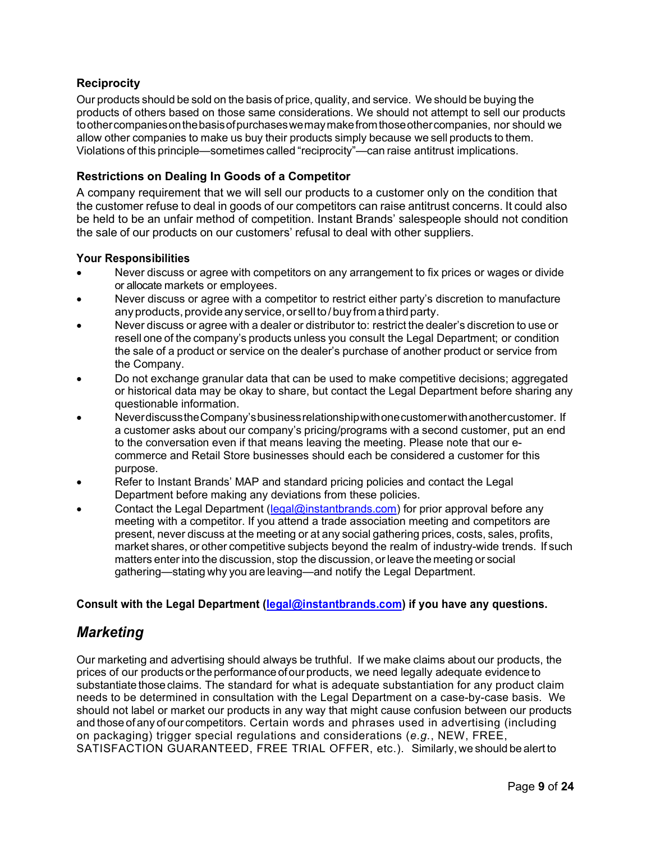#### **Reciprocity**

Our products should be sold on the basis of price, quality, and service. We should be buying the products of others based on those same considerations. We should not attempt to sell our products to other companies on the basis of purchases we may make from those other companies, nor should we allow other companies to make us buy their products simply because we sell products to them. Violations of this principle—sometimes called "reciprocity"—can raise antitrust implications.

#### Restrictions on Dealing In Goods of a Competitor

A company requirement that we will sell our products to a customer only on the condition that the customer refuse to deal in goods of our competitors can raise antitrust concerns. It could also be held to be an unfair method of competition. Instant Brands' salespeople should not condition the sale of our products on our customers' refusal to deal with other suppliers.

#### Your Responsibilities

- Never discuss or agree with competitors on any arrangement to fix prices or wages or divide or allocate markets or employees.
- Never discuss or agree with a competitor to restrict either party's discretion to manufacture any products, provide any service, or sell to / buy from a third party.
- Never discuss or agree with a dealer or distributor to: restrict the dealer's discretion to use or resell one of the company's products unless you consult the Legal Department; or condition the sale of a product or service on the dealer's purchase of another product or service from the Company.
- Do not exchange granular data that can be used to make competitive decisions; aggregated or historical data may be okay to share, but contact the Legal Department before sharing any questionable information.
- Never discuss the Company's business relationship with one customer with another customer. If a customer asks about our company's pricing/programs with a second customer, put an end to the conversation even if that means leaving the meeting. Please note that our ecommerce and Retail Store businesses should each be considered a customer for this purpose.
- Refer to Instant Brands' MAP and standard pricing policies and contact the Legal Department before making any deviations from these policies.
- Contact the Legal Department (legal@instantbrands.com) for prior approval before any meeting with a competitor. If you attend a trade association meeting and competitors are present, never discuss at the meeting or at any social gathering prices, costs, sales, profits, market shares, or other competitive subjects beyond the realm of industry-wide trends. If such matters enter into the discussion, stop the discussion, or leave the meeting or social gathering—stating why you are leaving—and notify the Legal Department.

#### Consult with the Legal Department (legal@instantbrands.com) if you have any questions.

### **Marketing**

Our marketing and advertising should always be truthful. If we make claims about our products, the prices of our products or the performance of our products, we need legally adequate evidence to substantiate those claims. The standard for what is adequate substantiation for any product claim needs to be determined in consultation with the Legal Department on a case-by-case basis. We should not label or market our products in any way that might cause confusion between our products and those of any of our competitors. Certain words and phrases used in advertising (including on packaging) trigger special regulations and considerations (e.g., NEW, FREE, SATISFACTION GUARANTEED, FREE TRIAL OFFER, etc.). Similarly, we should be alert to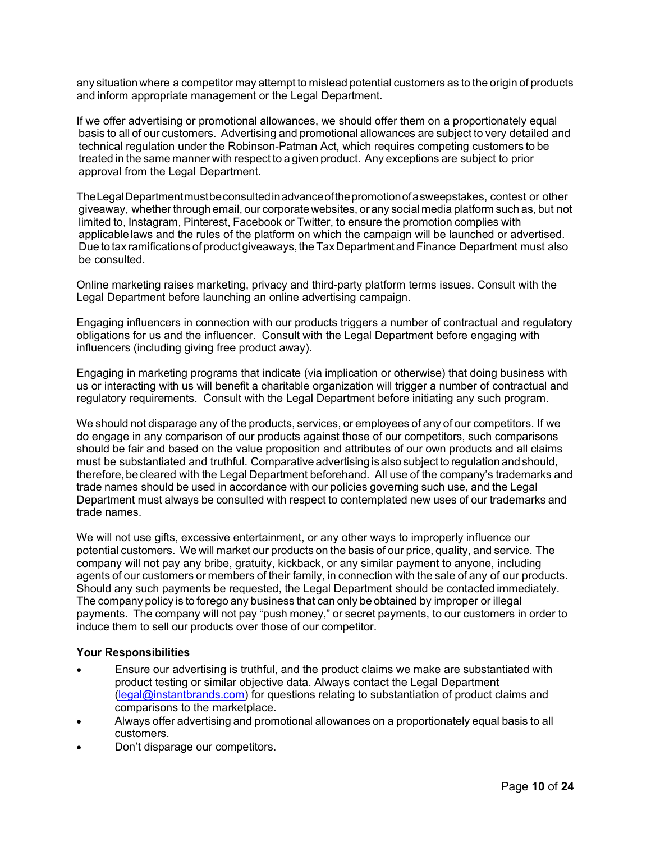any situation where a competitor may attempt to mislead potential customers as to the origin of products and inform appropriate management or the Legal Department.

If we offer advertising or promotional allowances, we should offer them on a proportionately equal basis to all of our customers. Advertising and promotional allowances are subject to very detailed and technical regulation under the Robinson-Patman Act, which requires competing customers to be treated in the same manner with respect to a given product. Any exceptions are subject to prior approval from the Legal Department.

The Legal Department must be consulted in advance of the promotion of a sweepstakes, contest or other giveaway, whether through email, our corporate websites, or any social media platform such as, but not limited to, Instagram, Pinterest, Facebook or Twitter, to ensure the promotion complies with applicable laws and the rules of the platform on which the campaign will be launched or advertised. Due to tax ramifications of product giveaways, the Tax Department and Finance Department must also be consulted.

Online marketing raises marketing, privacy and third-party platform terms issues. Consult with the Legal Department before launching an online advertising campaign.

Engaging influencers in connection with our products triggers a number of contractual and regulatory obligations for us and the influencer. Consult with the Legal Department before engaging with influencers (including giving free product away).

Engaging in marketing programs that indicate (via implication or otherwise) that doing business with us or interacting with us will benefit a charitable organization will trigger a number of contractual and regulatory requirements. Consult with the Legal Department before initiating any such program.

We should not disparage any of the products, services, or employees of any of our competitors. If we do engage in any comparison of our products against those of our competitors, such comparisons should be fair and based on the value proposition and attributes of our own products and all claims must be substantiated and truthful. Comparative advertising is also subject to regulation and should, therefore, be cleared with the Legal Department beforehand. All use of the company's trademarks and trade names should be used in accordance with our policies governing such use, and the Legal Department must always be consulted with respect to contemplated new uses of our trademarks and trade names.

We will not use gifts, excessive entertainment, or any other ways to improperly influence our potential customers. We will market our products on the basis of our price, quality, and service. The company will not pay any bribe, gratuity, kickback, or any similar payment to anyone, including agents of our customers or members of their family, in connection with the sale of any of our products. Should any such payments be requested, the Legal Department should be contacted immediately. The company policy is to forego any business that can only be obtained by improper or illegal payments. The company will not pay "push money," or secret payments, to our customers in order to induce them to sell our products over those of our competitor.

#### Your Responsibilities

- Ensure our advertising is truthful, and the product claims we make are substantiated with product testing or similar objective data. Always contact the Legal Department (legal@instantbrands.com) for questions relating to substantiation of product claims and comparisons to the marketplace.
- Always offer advertising and promotional allowances on a proportionately equal basis to all customers.
- Don't disparage our competitors.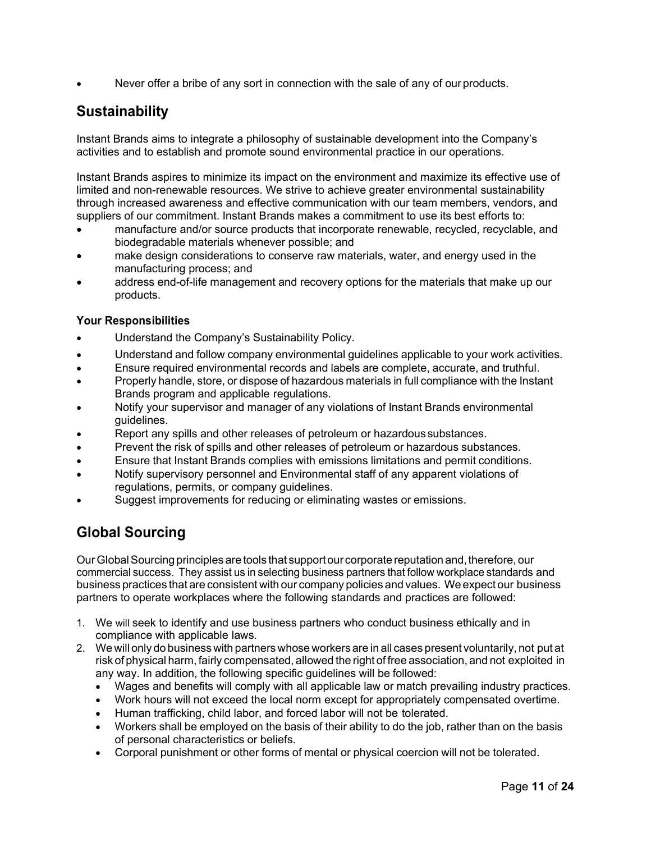Never offer a bribe of any sort in connection with the sale of any of our products.

# **Sustainability**

Instant Brands aims to integrate a philosophy of sustainable development into the Company's activities and to establish and promote sound environmental practice in our operations.

Instant Brands aspires to minimize its impact on the environment and maximize its effective use of limited and non-renewable resources. We strive to achieve greater environmental sustainability through increased awareness and effective communication with our team members, vendors, and suppliers of our commitment. Instant Brands makes a commitment to use its best efforts to:

- manufacture and/or source products that incorporate renewable, recycled, recyclable, and biodegradable materials whenever possible; and
- make design considerations to conserve raw materials, water, and energy used in the manufacturing process; and
- address end-of-life management and recovery options for the materials that make up our products.

#### Your Responsibilities

- Understand the Company's Sustainability Policy.
- Understand and follow company environmental guidelines applicable to your work activities.
- Ensure required environmental records and labels are complete, accurate, and truthful.
- Properly handle, store, or dispose of hazardous materials in full compliance with the Instant Brands program and applicable regulations.
- Notify your supervisor and manager of any violations of Instant Brands environmental guidelines.
- Report any spills and other releases of petroleum or hazardous substances.
- Prevent the risk of spills and other releases of petroleum or hazardous substances.
- Ensure that Instant Brands complies with emissions limitations and permit conditions.
- Notify supervisory personnel and Environmental staff of any apparent violations of regulations, permits, or company guidelines.
- Suggest improvements for reducing or eliminating wastes or emissions.

# Global Sourcing

Our Global Sourcing principles are tools that support our corporate reputation and, therefore, our commercial success. They assist us in selecting business partners that follow workplace standards and business practices that are consistent with our company policies and values. We expect our business partners to operate workplaces where the following standards and practices are followed:

- 1. We will seek to identify and use business partners who conduct business ethically and in compliance with applicable laws.
- 2. We will only do business with partners whose workers are in all cases present voluntarily, not put at risk of physical harm, fairly compensated, allowed the right of free association, and not exploited in any way. In addition, the following specific guidelines will be followed:
	- Wages and benefits will comply with all applicable law or match prevailing industry practices.
	- Work hours will not exceed the local norm except for appropriately compensated overtime.
	- Human trafficking, child labor, and forced labor will not be tolerated.
	- Workers shall be employed on the basis of their ability to do the job, rather than on the basis of personal characteristics or beliefs.
	- Corporal punishment or other forms of mental or physical coercion will not be tolerated.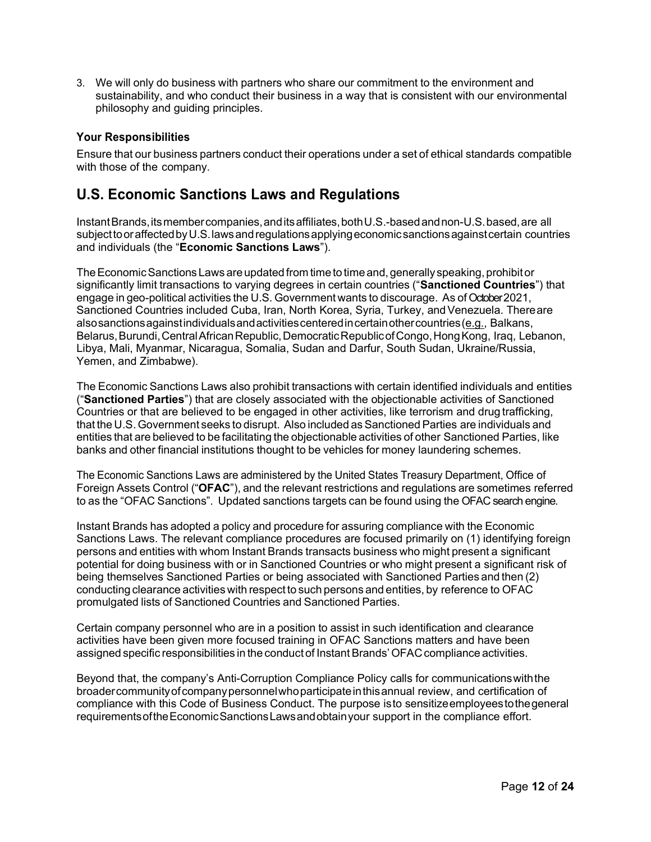3. We will only do business with partners who share our commitment to the environment and sustainability, and who conduct their business in a way that is consistent with our environmental philosophy and guiding principles.

#### Your Responsibilities

Ensure that our business partners conduct their operations under a set of ethical standards compatible with those of the company.

# U.S. Economic Sanctions Laws and Regulations

Instant Brands, its member companies, and its affiliates, both U.S.-based and non-U.S. based, are all subject to or affected by U.S. laws and regulations applying economic sanctions against certain countries and individuals (the "Economic Sanctions Laws").

The Economic Sanctions Laws are updated from time to time and, generally speaking, prohibit or significantly limit transactions to varying degrees in certain countries ("Sanctioned Countries") that engage in geo-political activities the U.S. Government wants to discourage. As of October 2021, Sanctioned Countries included Cuba, Iran, North Korea, Syria, Turkey, and Venezuela. There are also sanctions against individuals and activities centered in certain other countries (e.g., Balkans, Belarus, Burundi, Central African Republic, Democratic Republic of Congo, Hong Kong, Iraq, Lebanon, Libya, Mali, Myanmar, Nicaragua, Somalia, Sudan and Darfur, South Sudan, Ukraine/Russia, Yemen, and Zimbabwe).

The Economic Sanctions Laws also prohibit transactions with certain identified individuals and entities ("Sanctioned Parties") that are closely associated with the objectionable activities of Sanctioned Countries or that are believed to be engaged in other activities, like terrorism and drug trafficking, that the U.S. Government seeks to disrupt. Also included as Sanctioned Parties are individuals and entities that are believed to be facilitating the objectionable activities of other Sanctioned Parties, like banks and other financial institutions thought to be vehicles for money laundering schemes.

The Economic Sanctions Laws are administered by the United States Treasury Department, Office of Foreign Assets Control ("OFAC"), and the relevant restrictions and regulations are sometimes referred to as the "OFAC Sanctions". Updated sanctions targets can be found using the OFAC search engine.

Instant Brands has adopted a policy and procedure for assuring compliance with the Economic Sanctions Laws. The relevant compliance procedures are focused primarily on (1) identifying foreign persons and entities with whom Instant Brands transacts business who might present a significant potential for doing business with or in Sanctioned Countries or who might present a significant risk of being themselves Sanctioned Parties or being associated with Sanctioned Parties and then (2) conducting clearance activities with respect to such persons and entities, by reference to OFAC promulgated lists of Sanctioned Countries and Sanctioned Parties.

Certain company personnel who are in a position to assist in such identification and clearance activities have been given more focused training in OFAC Sanctions matters and have been assigned specific responsibilities in the conduct of Instant Brands' OFAC compliance activities.

Beyond that, the company's Anti-Corruption Compliance Policy calls for communications with the broader community of company personnel who participate in this annual review, and certification of compliance with this Code of Business Conduct. The purpose is to sensitize employees to the general requirements of the Economic Sanctions Laws and obtain your support in the compliance effort.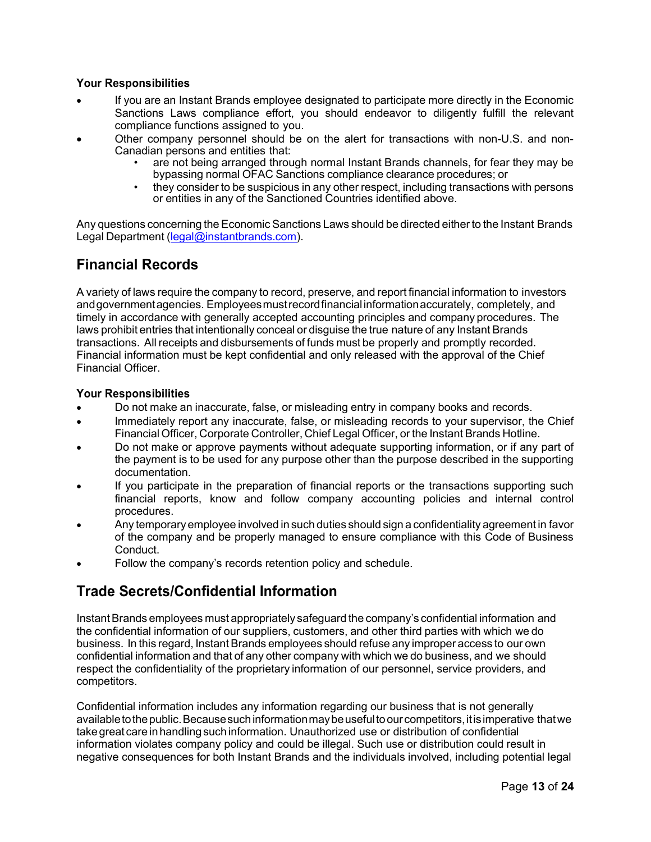#### Your Responsibilities

- If you are an Instant Brands employee designated to participate more directly in the Economic Sanctions Laws compliance effort, you should endeavor to diligently fulfill the relevant compliance functions assigned to you.
- Other company personnel should be on the alert for transactions with non-U.S. and non-Canadian persons and entities that:
	- are not being arranged through normal Instant Brands channels, for fear they may be bypassing normal OFAC Sanctions compliance clearance procedures; or
	- they consider to be suspicious in any other respect, including transactions with persons or entities in any of the Sanctioned Countries identified above.

Any questions concerning the Economic Sanctions Laws should be directed either to the Instant Brands Legal Department (legal@instantbrands.com).

# Financial Records

A variety of laws require the company to record, preserve, and report financial information to investors and government agencies. Employees must record financial information accurately, completely, and timely in accordance with generally accepted accounting principles and company procedures. The laws prohibit entries that intentionally conceal or disguise the true nature of any Instant Brands transactions. All receipts and disbursements of funds must be properly and promptly recorded. Financial information must be kept confidential and only released with the approval of the Chief Financial Officer.

#### Your Responsibilities

- Do not make an inaccurate, false, or misleading entry in company books and records.
- Immediately report any inaccurate, false, or misleading records to your supervisor, the Chief Financial Officer, Corporate Controller, Chief Legal Officer, or the Instant Brands Hotline.
- Do not make or approve payments without adequate supporting information, or if any part of the payment is to be used for any purpose other than the purpose described in the supporting documentation.
- If you participate in the preparation of financial reports or the transactions supporting such financial reports, know and follow company accounting policies and internal control procedures.
- Any temporary employee involved in such duties should sign a confidentiality agreement in favor of the company and be properly managed to ensure compliance with this Code of Business Conduct.
- Follow the company's records retention policy and schedule.

# Trade Secrets/Confidential Information

Instant Brands employees must appropriately safeguard the company's confidential information and the confidential information of our suppliers, customers, and other third parties with which we do business. In this regard, Instant Brands employees should refuse any improper access to our own confidential information and that of any other company with which we do business, and we should respect the confidentiality of the proprietary information of our personnel, service providers, and competitors.

Confidential information includes any information regarding our business that is not generally available to the public. Because such information may be useful to our competitors, it is imperative that we take great care in handling such information. Unauthorized use or distribution of confidential information violates company policy and could be illegal. Such use or distribution could result in negative consequences for both Instant Brands and the individuals involved, including potential legal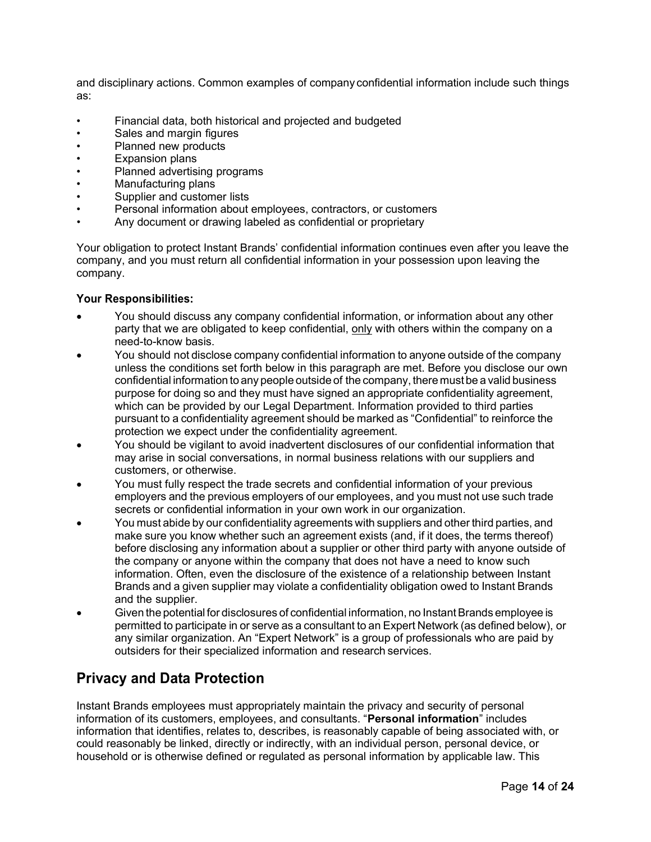and disciplinary actions. Common examples of company confidential information include such things as:

- Financial data, both historical and projected and budgeted
- Sales and margin figures
- Planned new products
- Expansion plans
- Planned advertising programs
- Manufacturing plans
- Supplier and customer lists
- Personal information about employees, contractors, or customers
- Any document or drawing labeled as confidential or proprietary

Your obligation to protect Instant Brands' confidential information continues even after you leave the company, and you must return all confidential information in your possession upon leaving the company.

#### Your Responsibilities:

- You should discuss any company confidential information, or information about any other party that we are obligated to keep confidential, only with others within the company on a need-to-know basis.
- You should not disclose company confidential information to anyone outside of the company unless the conditions set forth below in this paragraph are met. Before you disclose our own confidential information to any people outside of the company, there must be a valid business purpose for doing so and they must have signed an appropriate confidentiality agreement, which can be provided by our Legal Department. Information provided to third parties pursuant to a confidentiality agreement should be marked as "Confidential" to reinforce the protection we expect under the confidentiality agreement.
- You should be vigilant to avoid inadvertent disclosures of our confidential information that may arise in social conversations, in normal business relations with our suppliers and customers, or otherwise.
- You must fully respect the trade secrets and confidential information of your previous employers and the previous employers of our employees, and you must not use such trade secrets or confidential information in your own work in our organization.
- You must abide by our confidentiality agreements with suppliers and other third parties, and make sure you know whether such an agreement exists (and, if it does, the terms thereof) before disclosing any information about a supplier or other third party with anyone outside of the company or anyone within the company that does not have a need to know such information. Often, even the disclosure of the existence of a relationship between Instant Brands and a given supplier may violate a confidentiality obligation owed to Instant Brands and the supplier.
- Given the potential for disclosures of confidential information, no Instant Brands employee is permitted to participate in or serve as a consultant to an Expert Network (as defined below), or any similar organization. An "Expert Network" is a group of professionals who are paid by outsiders for their specialized information and research services.

# Privacy and Data Protection

Instant Brands employees must appropriately maintain the privacy and security of personal information of its customers, employees, and consultants. "Personal information" includes information that identifies, relates to, describes, is reasonably capable of being associated with, or could reasonably be linked, directly or indirectly, with an individual person, personal device, or household or is otherwise defined or regulated as personal information by applicable law. This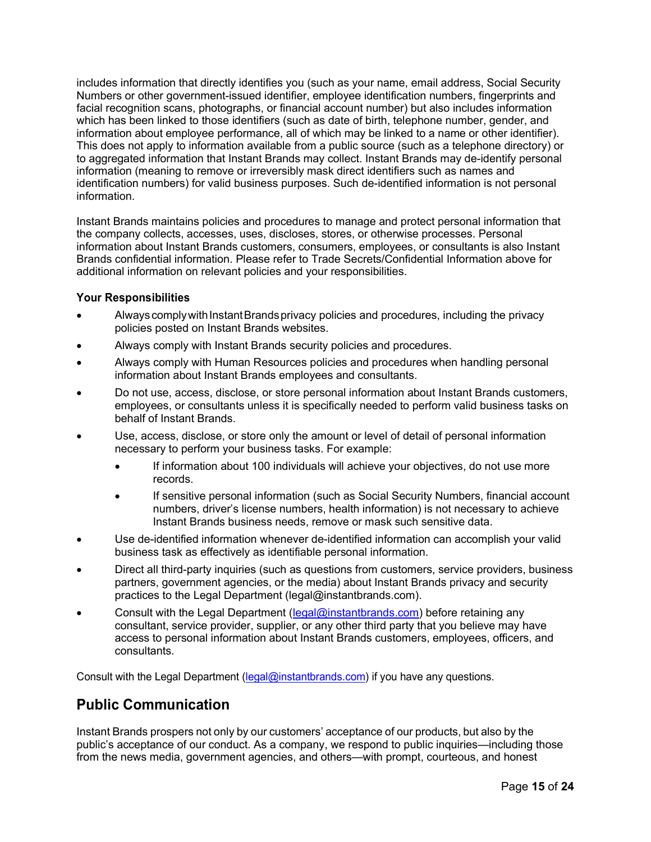includes information that directly identifies you (such as your name, email address, Social Security Numbers or other government-issued identifier, employee identification numbers, fingerprints and facial recognition scans, photographs, or financial account number) but also includes information which has been linked to those identifiers (such as date of birth, telephone number, gender, and information about employee performance, all of which may be linked to a name or other identifier). This does not apply to information available from a public source (such as a telephone directory) or to aggregated information that Instant Brands may collect. Instant Brands may de-identify personal information (meaning to remove or irreversibly mask direct identifiers such as names and identification numbers) for valid business purposes. Such de-identified information is not personal information.

Instant Brands maintains policies and procedures to manage and protect personal information that the company collects, accesses, uses, discloses, stores, or otherwise processes. Personal information about Instant Brands customers, consumers, employees, or consultants is also Instant Brands confidential information. Please refer to Trade Secrets/Confidential Information above for additional information on relevant policies and your responsibilities.

#### Your Responsibilities

- Always comply with Instant Brands privacy policies and procedures, including the privacy policies posted on Instant Brands websites.
- Always comply with Instant Brands security policies and procedures.
- Always comply with Human Resources policies and procedures when handling personal information about Instant Brands employees and consultants.
- Do not use, access, disclose, or store personal information about Instant Brands customers, employees, or consultants unless it is specifically needed to perform valid business tasks on behalf of Instant Brands.
- Use, access, disclose, or store only the amount or level of detail of personal information necessary to perform your business tasks. For example:
	- If information about 100 individuals will achieve your objectives, do not use more records.
	- If sensitive personal information (such as Social Security Numbers, financial account numbers, driver's license numbers, health information) is not necessary to achieve Instant Brands business needs, remove or mask such sensitive data.
- Use de-identified information whenever de-identified information can accomplish your valid business task as effectively as identifiable personal information.
- Direct all third-party inquiries (such as questions from customers, service providers, business partners, government agencies, or the media) about Instant Brands privacy and security practices to the Legal Department (legal@instantbrands.com).
- Consult with the Legal Department (legal@instantbrands.com) before retaining any consultant, service provider, supplier, or any other third party that you believe may have access to personal information about Instant Brands customers, employees, officers, and consultants.

Consult with the Legal Department (legal@instantbrands.com) if you have any questions.

# Public Communication

Instant Brands prospers not only by our customers' acceptance of our products, but also by the public's acceptance of our conduct. As a company, we respond to public inquiries—including those from the news media, government agencies, and others—with prompt, courteous, and honest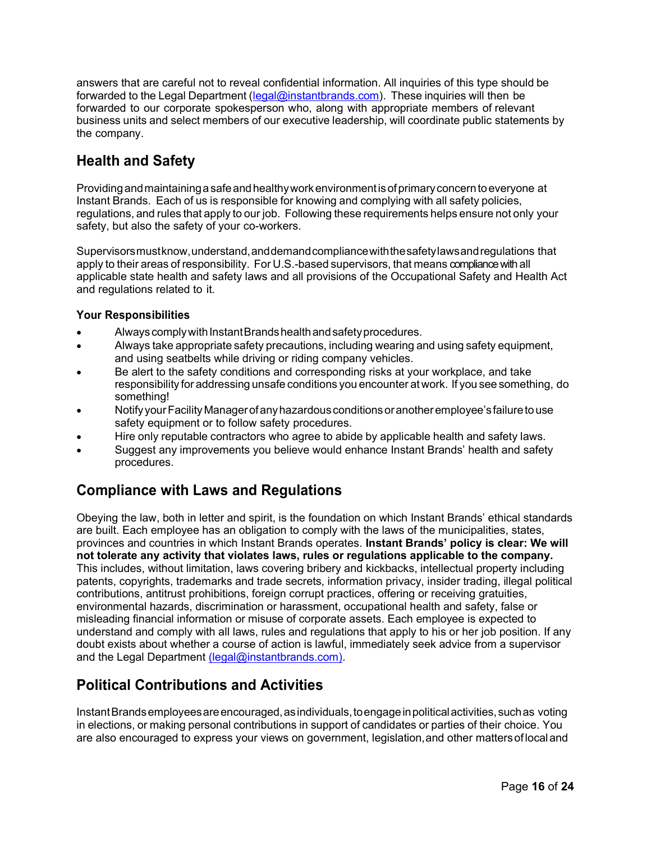answers that are careful not to reveal confidential information. All inquiries of this type should be forwarded to the Legal Department (legal@instantbrands.com). These inquiries will then be forwarded to our corporate spokesperson who, along with appropriate members of relevant business units and select members of our executive leadership, will coordinate public statements by the company.

# Health and Safety

Providing and maintaining a safe and healthy work environment is of primary concern to everyone at Instant Brands. Each of us is responsible for knowing and complying with all safety policies, regulations, and rules that apply to our job. Following these requirements helps ensure not only your safety, but also the safety of your co-workers.

Supervisors must know, understand, and demand compliance with the safety laws and regulations that apply to their areas of responsibility. For U.S.-based supervisors, that means compliance with all applicable state health and safety laws and all provisions of the Occupational Safety and Health Act and regulations related to it.

#### Your Responsibilities

- Always comply with Instant Brands health and safety procedures.
- Always take appropriate safety precautions, including wearing and using safety equipment, and using seatbelts while driving or riding company vehicles.
- Be alert to the safety conditions and corresponding risks at your workplace, and take responsibility for addressing unsafe conditions you encounter at work. If you see something, do something!
- Notify your Facility Manager of any hazardous conditions or another employee's failure to use safety equipment or to follow safety procedures.
- Hire only reputable contractors who agree to abide by applicable health and safety laws.
- Suggest any improvements you believe would enhance Instant Brands' health and safety procedures.

# Compliance with Laws and Regulations

Obeying the law, both in letter and spirit, is the foundation on which Instant Brands' ethical standards are built. Each employee has an obligation to comply with the laws of the municipalities, states, provinces and countries in which Instant Brands operates. Instant Brands' policy is clear: We will not tolerate any activity that violates laws, rules or regulations applicable to the company. This includes, without limitation, laws covering bribery and kickbacks, intellectual property including patents, copyrights, trademarks and trade secrets, information privacy, insider trading, illegal political contributions, antitrust prohibitions, foreign corrupt practices, offering or receiving gratuities, environmental hazards, discrimination or harassment, occupational health and safety, false or misleading financial information or misuse of corporate assets. Each employee is expected to understand and comply with all laws, rules and regulations that apply to his or her job position. If any doubt exists about whether a course of action is lawful, immediately seek advice from a supervisor and the Legal Department (legal@instantbrands.com).

# Political Contributions and Activities

Instant Brands employees are encouraged, as individuals, to engage in political activities, such as voting in elections, or making personal contributions in support of candidates or parties of their choice. You are also encouraged to express your views on government, legislation, and other matters of local and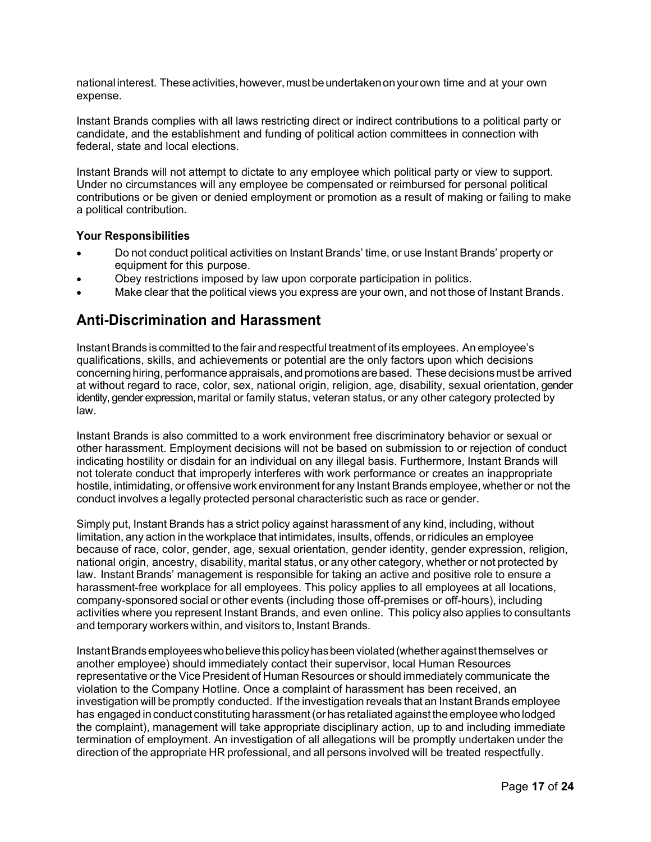national interest. These activities, however, must be undertaken on your own time and at your own expense.

Instant Brands complies with all laws restricting direct or indirect contributions to a political party or candidate, and the establishment and funding of political action committees in connection with federal, state and local elections.

Instant Brands will not attempt to dictate to any employee which political party or view to support. Under no circumstances will any employee be compensated or reimbursed for personal political contributions or be given or denied employment or promotion as a result of making or failing to make a political contribution.

#### Your Responsibilities

- Do not conduct political activities on Instant Brands' time, or use Instant Brands' property or equipment for this purpose.
- Obey restrictions imposed by law upon corporate participation in politics.
- Make clear that the political views you express are your own, and not those of Instant Brands.

# Anti-Discrimination and Harassment

Instant Brands is committed to the fair and respectful treatment of its employees. An employee's qualifications, skills, and achievements or potential are the only factors upon which decisions concerning hiring, performance appraisals, and promotions are based. These decisions must be arrived at without regard to race, color, sex, national origin, religion, age, disability, sexual orientation, gender identity, gender expression, marital or family status, veteran status, or any other category protected by law.

Instant Brands is also committed to a work environment free discriminatory behavior or sexual or other harassment. Employment decisions will not be based on submission to or rejection of conduct indicating hostility or disdain for an individual on any illegal basis. Furthermore, Instant Brands will not tolerate conduct that improperly interferes with work performance or creates an inappropriate hostile, intimidating, or offensive work environment for any Instant Brands employee, whether or not the conduct involves a legally protected personal characteristic such as race or gender.

Simply put, Instant Brands has a strict policy against harassment of any kind, including, without limitation, any action in the workplace that intimidates, insults, offends, or ridicules an employee because of race, color, gender, age, sexual orientation, gender identity, gender expression, religion, national origin, ancestry, disability, marital status, or any other category, whether or not protected by law. Instant Brands' management is responsible for taking an active and positive role to ensure a harassment-free workplace for all employees. This policy applies to all employees at all locations, company-sponsored social or other events (including those off-premises or off-hours), including activities where you represent Instant Brands, and even online. This policy also applies to consultants and temporary workers within, and visitors to, Instant Brands.

Instant Brands employees who believe this policy has been violated (whether against themselves or another employee) should immediately contact their supervisor, local Human Resources representative or the Vice President of Human Resources or should immediately communicate the violation to the Company Hotline. Once a complaint of harassment has been received, an investigation will be promptly conducted. If the investigation reveals that an Instant Brands employee has engaged in conduct constituting harassment (or has retaliated against the employee who lodged the complaint), management will take appropriate disciplinary action, up to and including immediate termination of employment. An investigation of all allegations will be promptly undertaken under the direction of the appropriate HR professional, and all persons involved will be treated respectfully.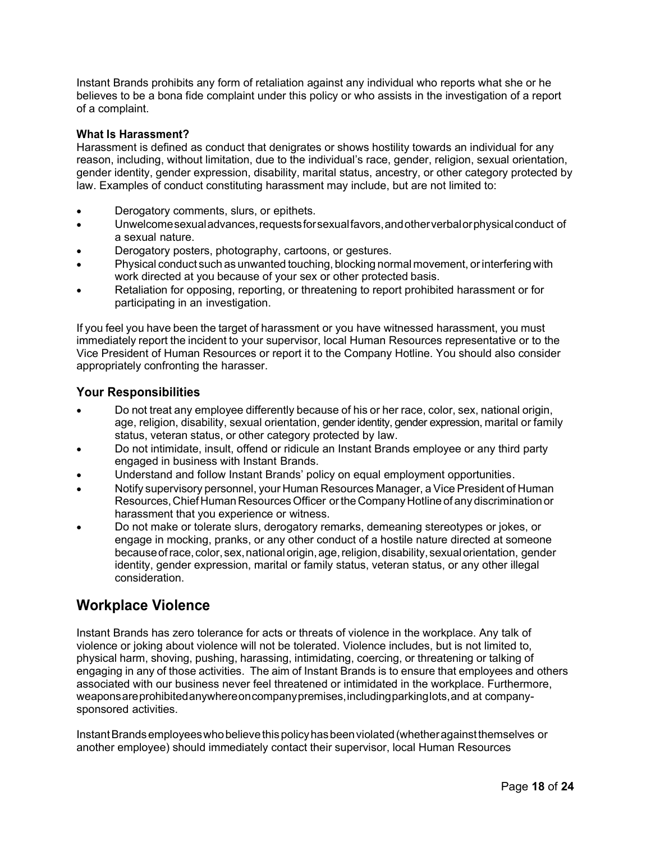Instant Brands prohibits any form of retaliation against any individual who reports what she or he believes to be a bona fide complaint under this policy or who assists in the investigation of a report of a complaint.

#### What Is Harassment?

Harassment is defined as conduct that denigrates or shows hostility towards an individual for any reason, including, without limitation, due to the individual's race, gender, religion, sexual orientation, gender identity, gender expression, disability, marital status, ancestry, or other category protected by law. Examples of conduct constituting harassment may include, but are not limited to:

- Derogatory comments, slurs, or epithets.
- Unwelcome sexual advances, requests for sexual favors, and other verbal or physical conduct of a sexual nature.
- Derogatory posters, photography, cartoons, or gestures.
- Physical conduct such as unwanted touching, blocking normal movement, or interfering with work directed at you because of your sex or other protected basis.
- Retaliation for opposing, reporting, or threatening to report prohibited harassment or for participating in an investigation.

If you feel you have been the target of harassment or you have witnessed harassment, you must immediately report the incident to your supervisor, local Human Resources representative or to the Vice President of Human Resources or report it to the Company Hotline. You should also consider appropriately confronting the harasser.

#### Your Responsibilities

- Do not treat any employee differently because of his or her race, color, sex, national origin, age, religion, disability, sexual orientation, gender identity, gender expression, marital or family status, veteran status, or other category protected by law.
- Do not intimidate, insult, offend or ridicule an Instant Brands employee or any third party engaged in business with Instant Brands.
- Understand and follow Instant Brands' policy on equal employment opportunities.
- Notify supervisory personnel, your Human Resources Manager, a Vice President of Human Resources, Chief Human Resources Officer or the Company Hotline of any discrimination or harassment that you experience or witness.
- Do not make or tolerate slurs, derogatory remarks, demeaning stereotypes or jokes, or engage in mocking, pranks, or any other conduct of a hostile nature directed at someone because of race, color, sex, national origin, age, religion, disability, sexual orientation, gender identity, gender expression, marital or family status, veteran status, or any other illegal consideration.

# Workplace Violence

Instant Brands has zero tolerance for acts or threats of violence in the workplace. Any talk of violence or joking about violence will not be tolerated. Violence includes, but is not limited to, physical harm, shoving, pushing, harassing, intimidating, coercing, or threatening or talking of engaging in any of those activities. The aim of Instant Brands is to ensure that employees and others associated with our business never feel threatened or intimidated in the workplace. Furthermore, weapons are prohibited anywhere on company premises, including parking lots, and at companysponsored activities.

Instant Brands employees who believe this policy has been violated (whether against themselves or another employee) should immediately contact their supervisor, local Human Resources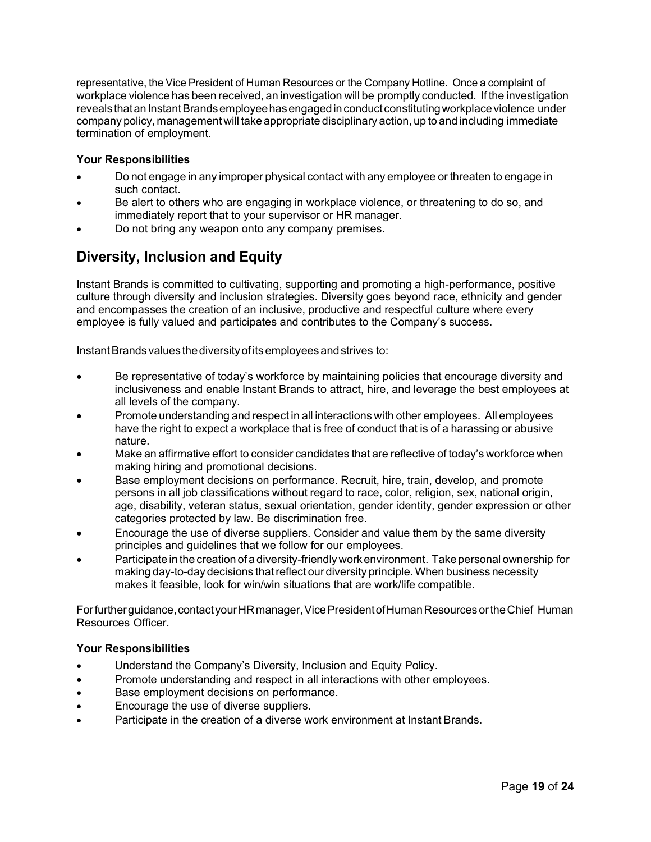representative, the Vice President of Human Resources or the Company Hotline. Once a complaint of workplace violence has been received, an investigation will be promptly conducted. If the investigation reveals that an Instant Brands employee has engaged in conduct constituting workplace violence under company policy, management will take appropriate disciplinary action, up to and including immediate termination of employment.

#### Your Responsibilities

- Do not engage in any improper physical contact with any employee or threaten to engage in such contact.
- Be alert to others who are engaging in workplace violence, or threatening to do so, and immediately report that to your supervisor or HR manager.
- Do not bring any weapon onto any company premises.

# Diversity, Inclusion and Equity

Instant Brands is committed to cultivating, supporting and promoting a high-performance, positive culture through diversity and inclusion strategies. Diversity goes beyond race, ethnicity and gender and encompasses the creation of an inclusive, productive and respectful culture where every employee is fully valued and participates and contributes to the Company's success.

Instant Brands values the diversity of its employees and strives to:

- Be representative of today's workforce by maintaining policies that encourage diversity and inclusiveness and enable Instant Brands to attract, hire, and leverage the best employees at all levels of the company.
- Promote understanding and respect in all interactions with other employees. All employees have the right to expect a workplace that is free of conduct that is of a harassing or abusive nature.
- Make an affirmative effort to consider candidates that are reflective of today's workforce when making hiring and promotional decisions.
- Base employment decisions on performance. Recruit, hire, train, develop, and promote persons in all job classifications without regard to race, color, religion, sex, national origin, age, disability, veteran status, sexual orientation, gender identity, gender expression or other categories protected by law. Be discrimination free.
- Encourage the use of diverse suppliers. Consider and value them by the same diversity principles and guidelines that we follow for our employees.
- Participate in the creation of a diversity-friendly work environment. Take personal ownership for making day-to-day decisions that reflect our diversity principle. When business necessity makes it feasible, look for win/win situations that are work/life compatible.

For further guidance, contact your HR manager, Vice President of Human Resources or the Chief Human Resources Officer.

#### Your Responsibilities

- Understand the Company's Diversity, Inclusion and Equity Policy.
- Promote understanding and respect in all interactions with other employees.
- Base employment decisions on performance.
- Encourage the use of diverse suppliers.
- Participate in the creation of a diverse work environment at Instant Brands.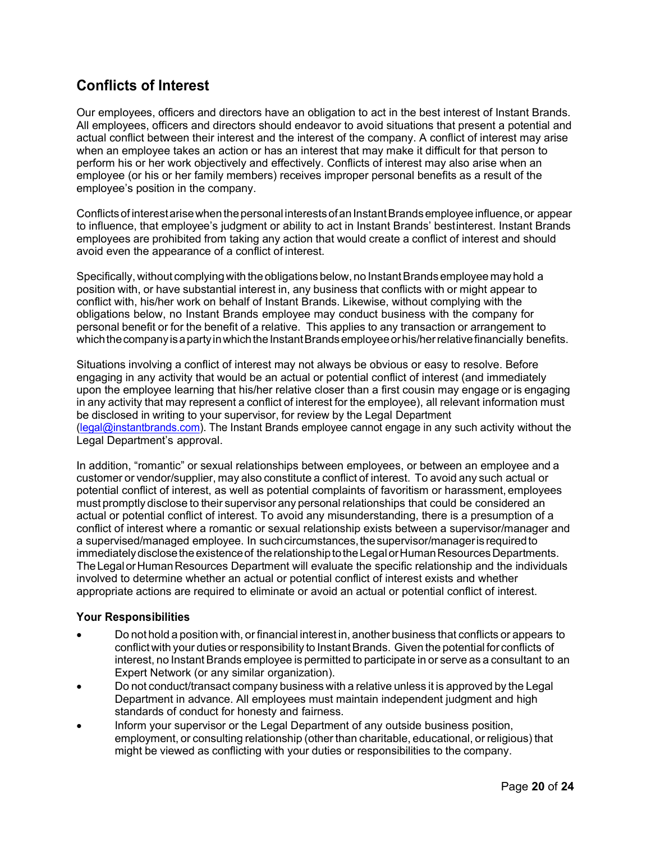# Conflicts of Interest

Our employees, officers and directors have an obligation to act in the best interest of Instant Brands. All employees, officers and directors should endeavor to avoid situations that present a potential and actual conflict between their interest and the interest of the company. A conflict of interest may arise when an employee takes an action or has an interest that may make it difficult for that person to perform his or her work objectively and effectively. Conflicts of interest may also arise when an employee (or his or her family members) receives improper personal benefits as a result of the employee's position in the company.

Conflicts of interest arise when the personal interests of an Instant Brands employee influence, or appear to influence, that employee's judgment or ability to act in Instant Brands' bestinterest. Instant Brands employees are prohibited from taking any action that would create a conflict of interest and should avoid even the appearance of a conflict of interest.

Specifically, without complying with the obligations below, no Instant Brands employee may hold a position with, or have substantial interest in, any business that conflicts with or might appear to conflict with, his/her work on behalf of Instant Brands. Likewise, without complying with the obligations below, no Instant Brands employee may conduct business with the company for personal benefit or for the benefit of a relative. This applies to any transaction or arrangement to which the company is a party in which the Instant Brands employee or his/her relative financially benefits.

Situations involving a conflict of interest may not always be obvious or easy to resolve. Before engaging in any activity that would be an actual or potential conflict of interest (and immediately upon the employee learning that his/her relative closer than a first cousin may engage or is engaging in any activity that may represent a conflict of interest for the employee), all relevant information must be disclosed in writing to your supervisor, for review by the Legal Department (legal@instantbrands.com). The Instant Brands employee cannot engage in any such activity without the Legal Department's approval.

In addition, "romantic" or sexual relationships between employees, or between an employee and a customer or vendor/supplier, may also constitute a conflict of interest. To avoid any such actual or potential conflict of interest, as well as potential complaints of favoritism or harassment, employees must promptly disclose to their supervisor any personal relationships that could be considered an actual or potential conflict of interest. To avoid any misunderstanding, there is a presumption of a conflict of interest where a romantic or sexual relationship exists between a supervisor/manager and a supervised/managed employee. In such circumstances, the supervisor/manager is required to immediately disclose the existence of the relationship to the Legal or Human Resources Departments. The Legal or Human Resources Department will evaluate the specific relationship and the individuals involved to determine whether an actual or potential conflict of interest exists and whether appropriate actions are required to eliminate or avoid an actual or potential conflict of interest.

#### Your Responsibilities

- Do not hold a position with, or financial interest in, another business that conflicts or appears to conflict with your duties or responsibility to Instant Brands. Given the potential for conflicts of interest, no Instant Brands employee is permitted to participate in or serve as a consultant to an Expert Network (or any similar organization).
- Do not conduct/transact company business with a relative unless it is approved by the Legal Department in advance. All employees must maintain independent judgment and high standards of conduct for honesty and fairness.
- Inform your supervisor or the Legal Department of any outside business position, employment, or consulting relationship (other than charitable, educational, or religious) that might be viewed as conflicting with your duties or responsibilities to the company.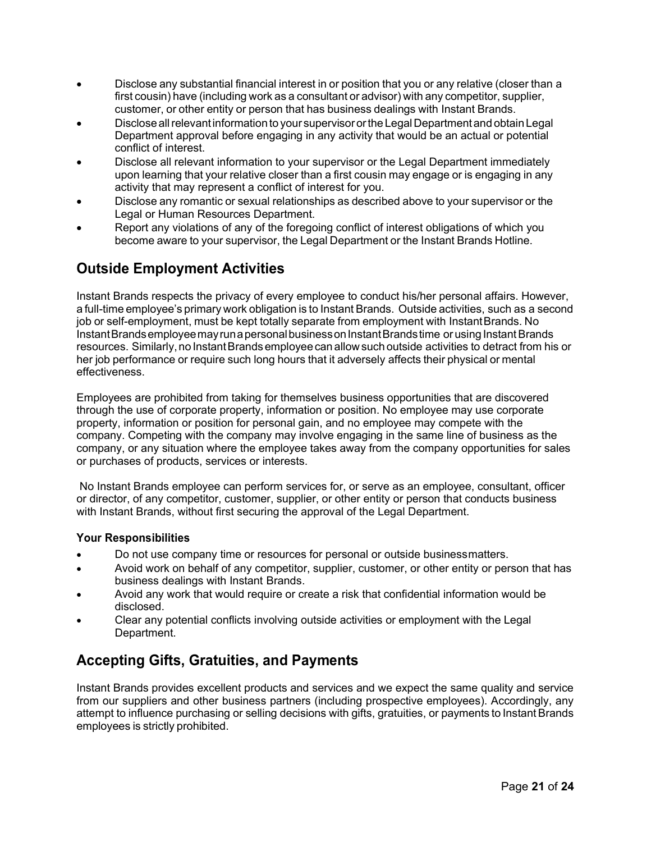- Disclose any substantial financial interest in or position that you or any relative (closer than a first cousin) have (including work as a consultant or advisor) with any competitor, supplier, customer, or other entity or person that has business dealings with Instant Brands.
- Disclose all relevant information to your supervisor or the Legal Department and obtain Legal Department approval before engaging in any activity that would be an actual or potential conflict of interest.
- Disclose all relevant information to your supervisor or the Legal Department immediately upon learning that your relative closer than a first cousin may engage or is engaging in any activity that may represent a conflict of interest for you.
- Disclose any romantic or sexual relationships as described above to your supervisor or the Legal or Human Resources Department.
- Report any violations of any of the foregoing conflict of interest obligations of which you become aware to your supervisor, the Legal Department or the Instant Brands Hotline.

# Outside Employment Activities

Instant Brands respects the privacy of every employee to conduct his/her personal affairs. However, a full-time employee's primary work obligation is to Instant Brands. Outside activities, such as a second job or self-employment, must be kept totally separate from employment with Instant Brands. No Instant Brands employee may run a personal business on Instant Brands time or using Instant Brands resources. Similarly, no Instant Brands employee can allow such outside activities to detract from his or her job performance or require such long hours that it adversely affects their physical or mental effectiveness.

Employees are prohibited from taking for themselves business opportunities that are discovered through the use of corporate property, information or position. No employee may use corporate property, information or position for personal gain, and no employee may compete with the company. Competing with the company may involve engaging in the same line of business as the company, or any situation where the employee takes away from the company opportunities for sales or purchases of products, services or interests.

 No Instant Brands employee can perform services for, or serve as an employee, consultant, officer or director, of any competitor, customer, supplier, or other entity or person that conducts business with Instant Brands, without first securing the approval of the Legal Department.

#### Your Responsibilities

- Do not use company time or resources for personal or outside business matters.
- Avoid work on behalf of any competitor, supplier, customer, or other entity or person that has business dealings with Instant Brands.
- Avoid any work that would require or create a risk that confidential information would be disclosed.
- Clear any potential conflicts involving outside activities or employment with the Legal Department.

# Accepting Gifts, Gratuities, and Payments

Instant Brands provides excellent products and services and we expect the same quality and service from our suppliers and other business partners (including prospective employees). Accordingly, any attempt to influence purchasing or selling decisions with gifts, gratuities, or payments to Instant Brands employees is strictly prohibited.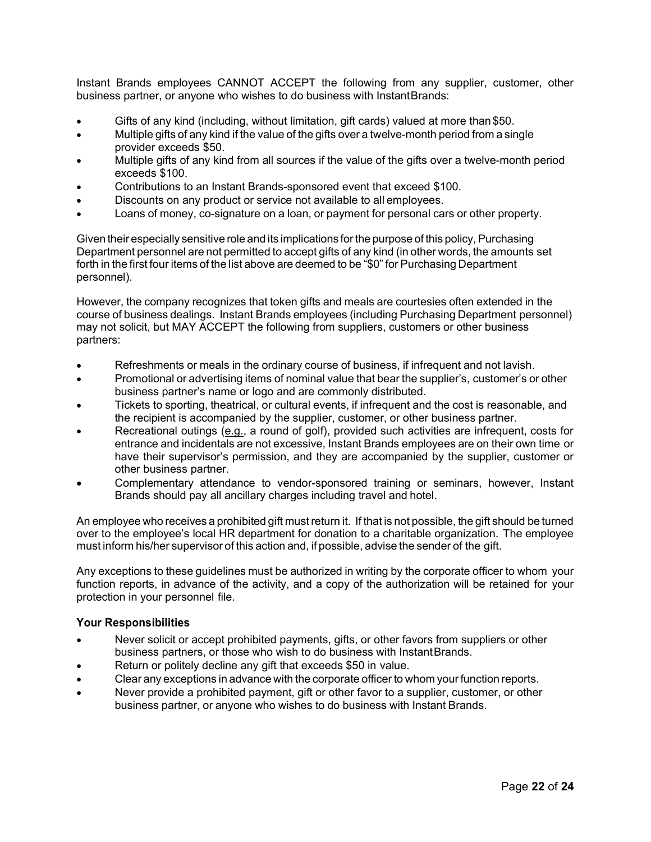Instant Brands employees CANNOT ACCEPT the following from any supplier, customer, other business partner, or anyone who wishes to do business with Instant Brands:

- Gifts of any kind (including, without limitation, gift cards) valued at more than \$50.
- Multiple gifts of any kind if the value of the gifts over a twelve-month period from a single provider exceeds \$50.
- Multiple gifts of any kind from all sources if the value of the gifts over a twelve-month period exceeds \$100.
- Contributions to an Instant Brands-sponsored event that exceed \$100.
- Discounts on any product or service not available to all employees.
- Loans of money, co-signature on a loan, or payment for personal cars or other property.

Given their especially sensitive role and its implications for the purpose of this policy, Purchasing Department personnel are not permitted to accept gifts of any kind (in other words, the amounts set forth in the first four items of the list above are deemed to be "\$0" for Purchasing Department personnel).

However, the company recognizes that token gifts and meals are courtesies often extended in the course of business dealings. Instant Brands employees (including Purchasing Department personnel) may not solicit, but MAY ACCEPT the following from suppliers, customers or other business partners:

- Refreshments or meals in the ordinary course of business, if infrequent and not lavish.
- Promotional or advertising items of nominal value that bear the supplier's, customer's or other business partner's name or logo and are commonly distributed.
- Tickets to sporting, theatrical, or cultural events, if infrequent and the cost is reasonable, and the recipient is accompanied by the supplier, customer, or other business partner.
- Recreational outings (e.g., a round of golf), provided such activities are infrequent, costs for entrance and incidentals are not excessive, Instant Brands employees are on their own time or have their supervisor's permission, and they are accompanied by the supplier, customer or other business partner.
- Complementary attendance to vendor-sponsored training or seminars, however, Instant Brands should pay all ancillary charges including travel and hotel.

An employee who receives a prohibited gift must return it. If that is not possible, the gift should be turned over to the employee's local HR department for donation to a charitable organization. The employee must inform his/her supervisor of this action and, if possible, advise the sender of the gift.

Any exceptions to these guidelines must be authorized in writing by the corporate officer to whom your function reports, in advance of the activity, and a copy of the authorization will be retained for your protection in your personnel file.

#### Your Responsibilities

- Never solicit or accept prohibited payments, gifts, or other favors from suppliers or other business partners, or those who wish to do business with Instant Brands.
- Return or politely decline any gift that exceeds \$50 in value.
- Clear any exceptions in advance with the corporate officer to whom your function reports.
- Never provide a prohibited payment, gift or other favor to a supplier, customer, or other business partner, or anyone who wishes to do business with Instant Brands.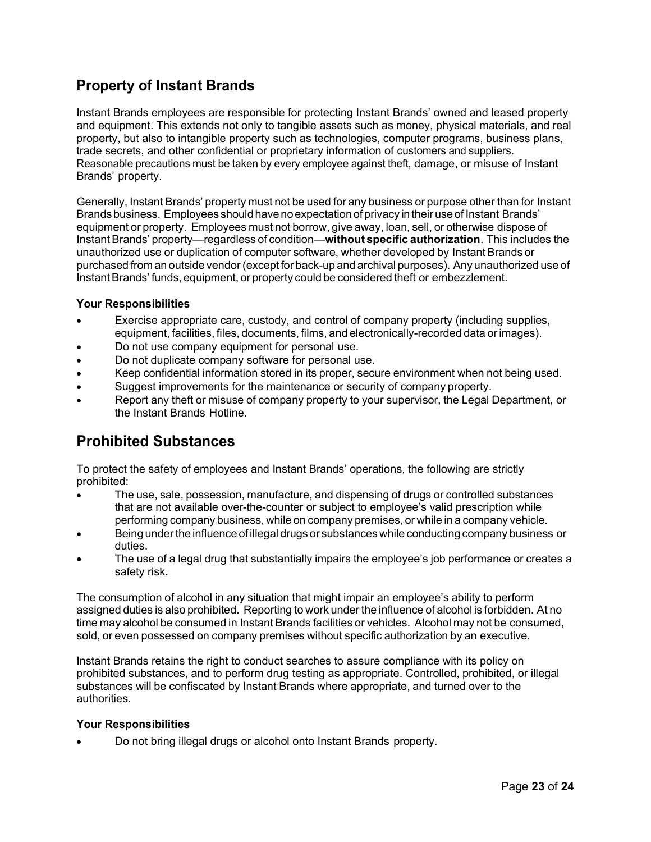# Property of Instant Brands

Instant Brands employees are responsible for protecting Instant Brands' owned and leased property and equipment. This extends not only to tangible assets such as money, physical materials, and real property, but also to intangible property such as technologies, computer programs, business plans, trade secrets, and other confidential or proprietary information of customers and suppliers. Reasonable precautions must be taken by every employee against theft, damage, or misuse of Instant Brands' property.

Generally, Instant Brands' property must not be used for any business or purpose other than for Instant Brands business. Employees should have no expectation of privacy in their use of Instant Brands' equipment or property. Employees must not borrow, give away, loan, sell, or otherwise dispose of Instant Brands' property—regardless of condition—without specific authorization. This includes the unauthorized use or duplication of computer software, whether developed by Instant Brands or purchased from an outside vendor (except for back-up and archival purposes). Any unauthorized use of Instant Brands' funds, equipment, or property could be considered theft or embezzlement.

#### Your Responsibilities

- Exercise appropriate care, custody, and control of company property (including supplies, equipment, facilities, files, documents, films, and electronically-recorded data or images).
- Do not use company equipment for personal use.
- Do not duplicate company software for personal use.
- Keep confidential information stored in its proper, secure environment when not being used.
- Suggest improvements for the maintenance or security of company property.
- Report any theft or misuse of company property to your supervisor, the Legal Department, or the Instant Brands Hotline.

# Prohibited Substances

To protect the safety of employees and Instant Brands' operations, the following are strictly prohibited:

- The use, sale, possession, manufacture, and dispensing of drugs or controlled substances that are not available over-the-counter or subject to employee's valid prescription while performing company business, while on company premises, or while in a company vehicle.
- Being under the influence of illegal drugs or substances while conducting company business or duties.
- The use of a legal drug that substantially impairs the employee's job performance or creates a safety risk.

The consumption of alcohol in any situation that might impair an employee's ability to perform assigned duties is also prohibited. Reporting to work under the influence of alcohol is forbidden. At no time may alcohol be consumed in Instant Brands facilities or vehicles. Alcohol may not be consumed, sold, or even possessed on company premises without specific authorization by an executive.

Instant Brands retains the right to conduct searches to assure compliance with its policy on prohibited substances, and to perform drug testing as appropriate. Controlled, prohibited, or illegal substances will be confiscated by Instant Brands where appropriate, and turned over to the authorities.

#### Your Responsibilities

Do not bring illegal drugs or alcohol onto Instant Brands property.